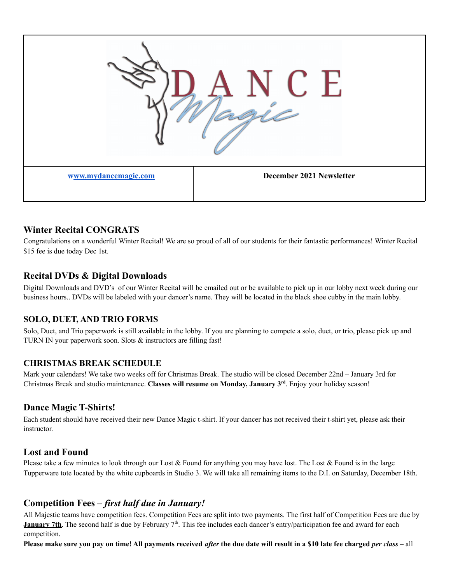

# **Winter Recital CONGRATS**

Congratulations on a wonderful Winter Recital! We are so proud of all of our students for their fantastic performances! Winter Recital \$15 fee is due today Dec 1st.

## **Recital DVDs & Digital Downloads**

Digital Downloads and DVD's of our Winter Recital will be emailed out or be available to pick up in our lobby next week during our business hours.. DVDs will be labeled with your dancer's name. They will be located in the black shoe cubby in the main lobby.

## **SOLO, DUET, AND TRIO FORMS**

Solo, Duet, and Trio paperwork is still available in the lobby. If you are planning to compete a solo, duet, or trio, please pick up and TURN IN your paperwork soon. Slots & instructors are filling fast!

## **CHRISTMAS BREAK SCHEDULE**

Mark your calendars! We take two weeks off for Christmas Break. The studio will be closed December 22nd – January 3rd for Christmas Break and studio maintenance. **Classes will resume on Monday, January 3 rd** . Enjoy your holiday season!

## **Dance Magic T-Shirts!**

Each student should have received their new Dance Magic t-shirt. If your dancer has not received their t-shirt yet, please ask their instructor.

## **Lost and Found**

Please take a few minutes to look through our Lost & Found for anything you may have lost. The Lost & Found is in the large Tupperware tote located by the white cupboards in Studio 3. We will take all remaining items to the D.I. on Saturday, December 18th.

## **Competition Fees –** *first half due in January!*

All Majestic teams have competition fees. Competition Fees are split into two payments. The first half of Competition Fees are due by **January 7th**. The second half is due by February  $7<sup>th</sup>$ . This fee includes each dancer's entry/participation fee and award for each competition.

Please make sure you pay on time! All payments received after the due date will result in a \$10 late fee charged per class - all